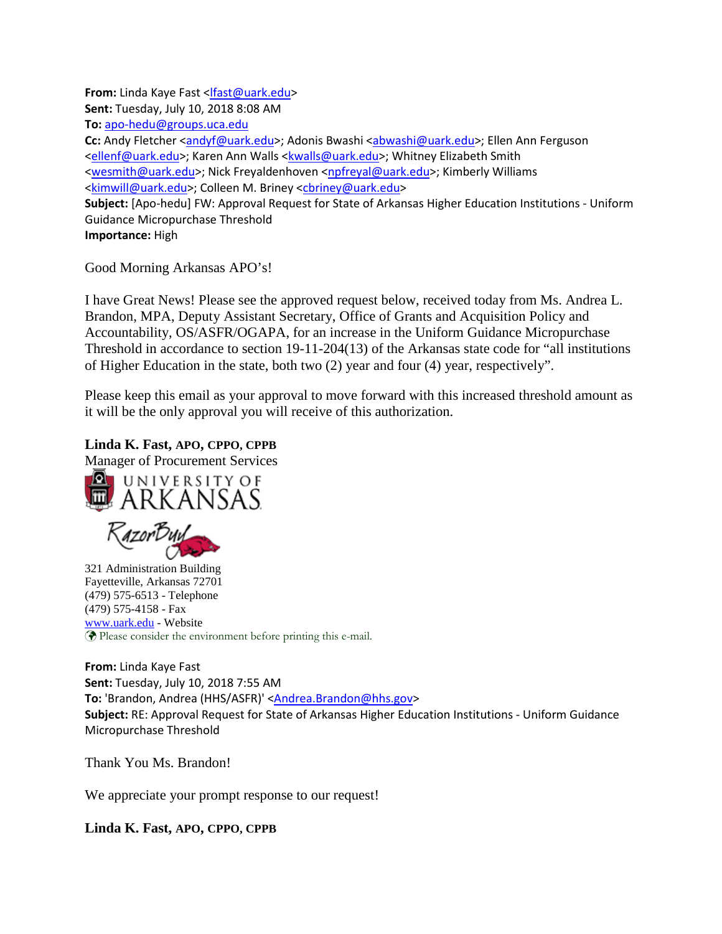**From:** Linda Kaye Fast [<lfast@uark.edu>](mailto:lfast@uark.edu) **Sent:** Tuesday, July 10, 2018 8:08 AM **To:** [apo-hedu@groups.uca.edu](mailto:apo-hedu@groups.uca.edu) **Cc:** Andy Fletcher [<andyf@uark.edu>](mailto:andyf@uark.edu); Adonis Bwashi [<abwashi@uark.edu>](mailto:abwashi@uark.edu); Ellen Ann Ferguson [<ellenf@uark.edu>](mailto:ellenf@uark.edu); Karen Ann Walls [<kwalls@uark.edu>](mailto:kwalls@uark.edu); Whitney Elizabeth Smith [<wesmith@uark.edu>](mailto:wesmith@uark.edu); Nick Freyaldenhoven [<npfreyal@uark.edu>](mailto:npfreyal@uark.edu); Kimberly Williams [<kimwill@uark.edu>](mailto:kimwill@uark.edu); Colleen M. Briney [<cbriney@uark.edu>](mailto:cbriney@uark.edu) **Subject:** [Apo-hedu] FW: Approval Request for State of Arkansas Higher Education Institutions - Uniform Guidance Micropurchase Threshold **Importance:** High

Good Morning Arkansas APO's!

I have Great News! Please see the approved request below, received today from Ms. Andrea L. Brandon, MPA, Deputy Assistant Secretary, Office of Grants and Acquisition Policy and Accountability, OS/ASFR/OGAPA, for an increase in the Uniform Guidance Micropurchase Threshold in accordance to section 19-11-204(13) of the Arkansas state code for "all institutions of Higher Education in the state, both two (2) year and four (4) year, respectively".

Please keep this email as your approval to move forward with this increased threshold amount as it will be the only approval you will receive of this authorization.

**Linda K. Fast, APO, CPPO, CPPB**

Manager of Procurement Services





321 Administration Building Fayetteville, Arkansas 72701 (479) 575-6513 - Telephone (479) 575-4158 - Fax [www.uark.edu](http://www.uark.edu/) - Website Please consider the environment before printing this e-mail.

**From:** Linda Kaye Fast **Sent:** Tuesday, July 10, 2018 7:55 AM To: 'Brandon, Andrea (HHS/ASFR)' [<Andrea.Brandon@hhs.gov>](mailto:Andrea.Brandon@hhs.gov) **Subject:** RE: Approval Request for State of Arkansas Higher Education Institutions - Uniform Guidance Micropurchase Threshold

Thank You Ms. Brandon!

We appreciate your prompt response to our request!

**Linda K. Fast, APO, CPPO, CPPB**